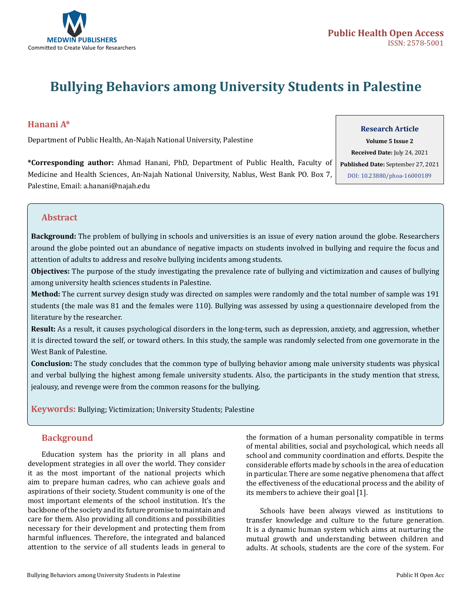

# **Bullying Behaviors among University Students in Palestine**

# **Hanani A\***

Department of Public Health, An-Najah National University, Palestine

# **Research Article**

**\*Corresponding author:** Ahmad Hanani, PhD, Department of Public Health, Faculty of Medicine and Health Sciences, An-Najah National University, Nablus, West Bank PO. Box 7, Palestine, Email: a.hanani@najah.edu

# **Volume 5 Issue 2 Received Date:** July 24, 2021 **Published Date:** September 27, 2021 [DOI: 10.23880/phoa-160001](https://doi.org/10.23880/phoa-16000189)89

### **Abstract**

**Background:** The problem of bullying in schools and universities is an issue of every nation around the globe. Researchers around the globe pointed out an abundance of negative impacts on students involved in bullying and require the focus and attention of adults to address and resolve bullying incidents among students.

**Objectives:** The purpose of the study investigating the prevalence rate of bullying and victimization and causes of bullying among university health sciences students in Palestine.

**Method:** The current survey design study was directed on samples were randomly and the total number of sample was 191 students (the male was 81 and the females were 110). Bullying was assessed by using a questionnaire developed from the literature by the researcher.

**Result:** As a result, it causes psychological disorders in the long-term, such as depression, anxiety, and aggression, whether it is directed toward the self, or toward others. In this study, the sample was randomly selected from one governorate in the West Bank of Palestine.

**Conclusion:** The study concludes that the common type of bullying behavior among male university students was physical and verbal bullying the highest among female university students. Also, the participants in the study mention that stress, jealousy, and revenge were from the common reasons for the bullying.

**Keywords:** Bullying; Victimization; University Students; Palestine

## **Background**

Education system has the priority in all plans and development strategies in all over the world. They consider it as the most important of the national projects which aim to prepare human cadres, who can achieve goals and aspirations of their society. Student community is one of the most important elements of the school institution. It's the backbone of the society and its future promise to maintain and care for them. Also providing all conditions and possibilities necessary for their development and protecting them from harmful influences. Therefore, the integrated and balanced attention to the service of all students leads in general to

the formation of a human personality compatible in terms of mental abilities, social and psychological, which needs all school and community coordination and efforts. Despite the considerable efforts made by schools in the area of education in particular. There are some negative phenomena that affect the effectiveness of the educational process and the ability of its members to achieve their goal [1].

Schools have been always viewed as institutions to transfer knowledge and culture to the future generation. It is a dynamic human system which aims at nurturing the mutual growth and understanding between children and adults. At schools, students are the core of the system. For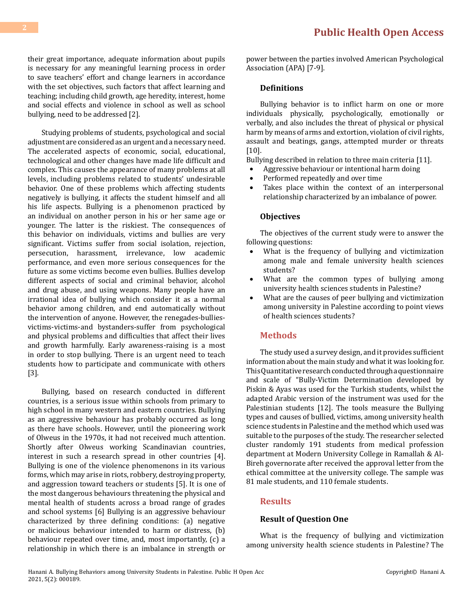their great importance, adequate information about pupils is necessary for any meaningful learning process in order to save teachers' effort and change learners in accordance with the set objectives, such factors that affect learning and teaching; including child growth, age heredity, interest, home and social effects and violence in school as well as school bullying, need to be addressed [2].

Studying problems of students, psychological and social adjustment are considered as an urgent and a necessary need. The accelerated aspects of economic, social, educational, technological and other changes have made life difficult and complex. This causes the appearance of many problems at all levels, including problems related to students' undesirable behavior. One of these problems which affecting students negatively is bullying, it affects the student himself and all his life aspects. Bullying is a phenomenon practiced by an individual on another person in his or her same age or younger. The latter is the riskiest. The consequences of this behavior on individuals, victims and bullies are very significant. Victims suffer from social isolation, rejection, persecution, harassment, irrelevance, low academic performance, and even more serious consequences for the future as some victims become even bullies. Bullies develop different aspects of social and criminal behavior, alcohol and drug abuse, and using weapons. Many people have an irrational idea of bullying which consider it as a normal behavior among children, and end automatically without the intervention of anyone. However, the renegades-bulliesvictims-victims-and bystanders-suffer from psychological and physical problems and difficulties that affect their lives and growth harmfully. Early awareness-raising is a most in order to stop bullying. There is an urgent need to teach students how to participate and communicate with others [3].

Bullying, based on research conducted in different countries, is a serious issue within schools from primary to high school in many western and eastern countries. Bullying as an aggressive behaviour has probably occurred as long as there have schools. However, until the pioneering work of Olweus in the 1970s, it had not received much attention. Shortly after Olweus working Scandinavian countries, interest in such a research spread in other countries [4]. Bullying is one of the violence phenomenons in its various forms, which may arise in riots, robbery, destroying property, and aggression toward teachers or students [5]. It is one of the most dangerous behaviours threatening the physical and mental health of students across a broad range of grades and school systems [6] Bullying is an aggressive behaviour characterized by three defining conditions: (a) negative or malicious behaviour intended to harm or distress, (b) behaviour repeated over time, and, most importantly, (c) a relationship in which there is an imbalance in strength or

power between the parties involved American Psychological Association (APA) [7-9].

#### **Definitions**

Bullying behavior is to inflict harm on one or more individuals physically, psychologically, emotionally or verbally, and also includes the threat of physical or physical harm by means of arms and extortion, violation of civil rights, assault and beatings, gangs, attempted murder or threats [10].

Bullying described in relation to three main criteria [11].

- Aggressive behaviour or intentional harm doing
- Performed repeatedly and over time<br>• Takes place within the context of
- Takes place within the context of an interpersonal relationship characterized by an imbalance of power.

#### **Objectives**

The objectives of the current study were to answer the following questions:

- What is the frequency of bullying and victimization among male and female university health sciences students?
- • What are the common types of bullying among university health sciences students in Palestine?
- What are the causes of peer bullying and victimization among university in Palestine according to point views of health sciences students?

#### **Methods**

The study used a survey design, and it provides sufficient information about the main study and what it was looking for. This Quantitative research conducted through a questionnaire and scale of "Bully-Victim Determination developed by Piskin & Ayas was used for the Turkish students, whilst the adapted Arabic version of the instrument was used for the Palestinian students [12]. The tools measure the Bullying types and causes of bullied, victims, among university health science students in Palestine and the method which used was suitable to the purposes of the study. The researcher selected cluster randomly 191 students from medical profession department at Modern University College in Ramallah & Al-Bireh governorate after received the approval letter from the ethical committee at the university college. The sample was 81 male students, and 110 female students.

#### **Results**

#### **Result of Question One**

What is the frequency of bullying and victimization among university health science students in Palestine? The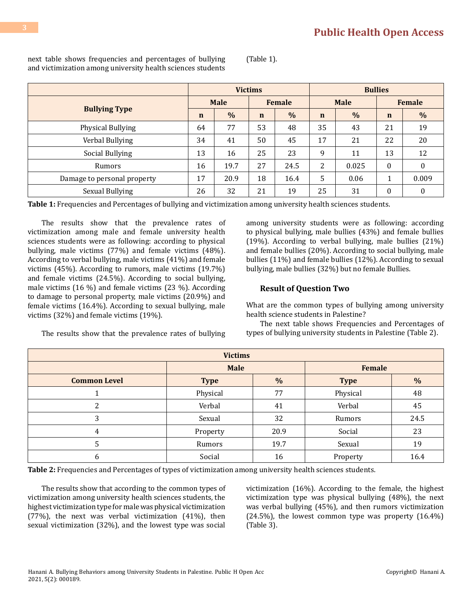next table shows frequencies and percentages of bullying and victimization among university health sciences students (Table 1).

|                             | <b>Victims</b> |             |             | <b>Bullies</b> |             |             |             |                  |  |
|-----------------------------|----------------|-------------|-------------|----------------|-------------|-------------|-------------|------------------|--|
| <b>Bullying Type</b>        |                | <b>Male</b> |             | <b>Female</b>  |             | <b>Male</b> |             | <b>Female</b>    |  |
|                             |                | $\%$        | $\mathbf n$ | $\frac{0}{0}$  | $\mathbf n$ | $\%$        | $\mathbf n$ | $\frac{0}{0}$    |  |
| Physical Bullying           | 64             | 77          | 53          | 48             | 35          | 43          | 21          | 19               |  |
| Verbal Bullying             | 34             | 41          | 50          | 45             | 17          | 21          | 22          | 20               |  |
| Social Bullying             | 13             | 16          | 25          | 23             | 9           | 11          | 13          | 12               |  |
| Rumors                      | 16             | 19.7        | 27          | 24.5           | 2           | 0.025       | $\theta$    | $\theta$         |  |
| Damage to personal property | 17             | 20.9        | 18          | 16.4           | 5           | 0.06        |             | 0.009            |  |
| Sexual Bullying             | 26             | 32          | 21          | 19             | 25          | 31          | $\theta$    | $\boldsymbol{0}$ |  |

**Table 1:** Frequencies and Percentages of bullying and victimization among university health sciences students.

The results show that the prevalence rates of victimization among male and female university health sciences students were as following: according to physical bullying, male victims (77%) and female victims (48%). According to verbal bullying, male victims (41%) and female victims (45%). According to rumors, male victims (19.7%) and female victims (24.5%). According to social bullying, male victims (16 %) and female victims (23 %). According to damage to personal property, male victims (20.9%) and female victims (16.4%). According to sexual bullying, male victims (32%) and female victims (19%).

The results show that the prevalence rates of bullying

among university students were as following: according to physical bullying, male bullies (43%) and female bullies (19%). According to verbal bullying, male bullies (21%) and female bullies (20%). According to social bullying, male bullies (11%) and female bullies (12%). According to sexual bullying, male bullies (32%) but no female Bullies.

#### **Result of Question Two**

**Male Female**

What are the common types of bullying among university health science students in Palestine?

The next table shows Frequencies and Percentages of types of bullying university students in Palestine (Table 2).

| <b>Common Level</b> | <b>Type</b> | $\%$ | <b>Type</b> | $\%$ |
|---------------------|-------------|------|-------------|------|
|                     | Physical    | 77   | Physical    | 48   |
| ົ                   | Verbal      | 41   | Verbal      | 45   |
| റ                   | Sexual      | 32   | Rumors      | 24.5 |
| 4                   | Property    | 20.9 | Social      | 23   |
| :כ                  | Rumors      | 19.7 | Sexual      | 19   |
| b                   | Social      | 16   | Property    | 16.4 |

 **Victims**

**Table 2:** Frequencies and Percentages of types of victimization among university health sciences students.

The results show that according to the common types of victimization among university health sciences students, the highest victimization type for male was physical victimization (77%), the next was verbal victimization (41%), then sexual victimization (32%), and the lowest type was social victimization (16%). According to the female, the highest victimization type was physical bullying (48%), the next was verbal bullying (45%), and then rumors victimization (24.5%), the lowest common type was property (16.4%) (Table 3).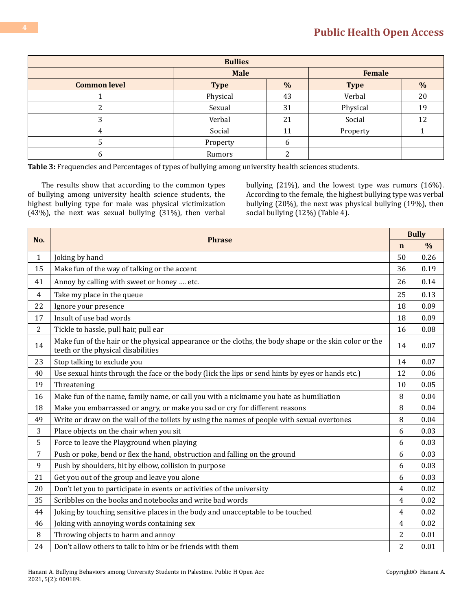# **[Public Health Open Access](https://medwinpublishers.com/PHOA/)**

| <b>Bullies</b>      |             |               |               |               |  |
|---------------------|-------------|---------------|---------------|---------------|--|
|                     | <b>Male</b> |               | <b>Female</b> |               |  |
| <b>Common level</b> | <b>Type</b> | $\frac{0}{0}$ | <b>Type</b>   | $\frac{0}{0}$ |  |
|                     | Physical    | 43            | Verbal        | 20            |  |
|                     | Sexual      | 31            | Physical      | 19            |  |
| ົ                   | Verbal      | 21            | Social        | 12            |  |
| 4                   | Social      | 11            | Property      |               |  |
|                     | Property    | 6             |               |               |  |
|                     | Rumors      |               |               |               |  |

**Table 3:** Frequencies and Percentages of types of bullying among university health sciences students.

The results show that according to the common types of bullying among university health science students, the highest bullying type for male was physical victimization (43%), the next was sexual bullying (31%), then verbal bullying (21%), and the lowest type was rumors (16%). According to the female, the highest bullying type was verbal bullying (20%), the next was physical bullying (19%), then social bullying (12%) (Table 4).

|              |                                                                                                                                              |                | <b>Bully</b>  |  |
|--------------|----------------------------------------------------------------------------------------------------------------------------------------------|----------------|---------------|--|
| No.          | <b>Phrase</b>                                                                                                                                | $\mathbf n$    | $\frac{0}{0}$ |  |
| $\mathbf{1}$ | Joking by hand                                                                                                                               | 50             | 0.26          |  |
| 15           | Make fun of the way of talking or the accent                                                                                                 | 36             | 0.19          |  |
| 41           | Annoy by calling with sweet or honey  etc.                                                                                                   | 26             | 0.14          |  |
| 4            | Take my place in the queue                                                                                                                   | 25             | 0.13          |  |
| 22           | Ignore your presence                                                                                                                         | 18             | 0.09          |  |
| 17           | Insult of use bad words                                                                                                                      | 18             | 0.09          |  |
| 2            | Tickle to hassle, pull hair, pull ear                                                                                                        | 16             | 0.08          |  |
| 14           | Make fun of the hair or the physical appearance or the cloths, the body shape or the skin color or the<br>teeth or the physical disabilities | 14             | 0.07          |  |
| 23           | Stop talking to exclude you                                                                                                                  | 14             | 0.07          |  |
| 40           | Use sexual hints through the face or the body (lick the lips or send hints by eyes or hands etc.)                                            | 12             | 0.06          |  |
| 19           | Threatening                                                                                                                                  | 10             | 0.05          |  |
| 16           | Make fun of the name, family name, or call you with a nickname you hate as humiliation                                                       | 8              | 0.04          |  |
| 18           | Make you embarrassed or angry, or make you sad or cry for different reasons                                                                  | 8              | 0.04          |  |
| 49           | Write or draw on the wall of the toilets by using the names of people with sexual overtones                                                  |                | 0.04          |  |
| 3            | Place objects on the chair when you sit                                                                                                      | 6              | 0.03          |  |
| 5            | Force to leave the Playground when playing                                                                                                   | 6              | 0.03          |  |
| 7            | Push or poke, bend or flex the hand, obstruction and falling on the ground                                                                   | 6              | 0.03          |  |
| 9            | Push by shoulders, hit by elbow, collision in purpose                                                                                        | 6              | 0.03          |  |
| 21           | Get you out of the group and leave you alone                                                                                                 | 6              | 0.03          |  |
| 20           | Don't let you to participate in events or activities of the university                                                                       | $\overline{4}$ | 0.02          |  |
| 35           | Scribbles on the books and notebooks and write bad words                                                                                     | $\overline{4}$ | 0.02          |  |
| 44           | Joking by touching sensitive places in the body and unacceptable to be touched                                                               | $\overline{4}$ | 0.02          |  |
| 46           | Joking with annoying words containing sex                                                                                                    | $\overline{4}$ | 0.02          |  |
| 8            | Throwing objects to harm and annoy                                                                                                           | 2              | 0.01          |  |
| 24           | Don't allow others to talk to him or be friends with them                                                                                    | $\overline{2}$ | 0.01          |  |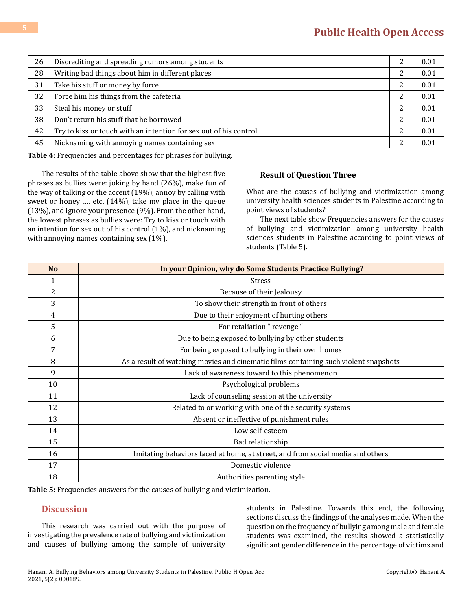| 26 | Discrediting and spreading rumors among students                  |   | 0.01 |
|----|-------------------------------------------------------------------|---|------|
| 28 | Writing bad things about him in different places                  |   | 0.01 |
| 31 | Take his stuff or money by force                                  | ∍ | 0.01 |
| 32 | Force him his things from the cafeteria                           |   | 0.01 |
| 33 | Steal his money or stuff                                          |   | 0.01 |
| 38 | Don't return his stuff that he borrowed                           |   | 0.01 |
| 42 | Try to kiss or touch with an intention for sex out of his control |   | 0.01 |
| 45 | Nicknaming with annoying names containing sex                     |   | 0.01 |

**Table 4:** Frequencies and percentages for phrases for bullying.

The results of the table above show that the highest five phrases as bullies were: joking by hand (26%), make fun of the way of talking or the accent (19%), annoy by calling with sweet or honey …. etc. (14%), take my place in the queue (13%), and ignore your presence (9%). From the other hand, the lowest phrases as bullies were: Try to kiss or touch with an intention for sex out of his control (1%), and nicknaming with annoying names containing sex (1%).

#### **Result of Question Three**

What are the causes of bullying and victimization among university health sciences students in Palestine according to point views of students?

The next table show Frequencies answers for the causes of bullying and victimization among university health sciences students in Palestine according to point views of students (Table 5).

| <b>No</b> | In your Opinion, why do Some Students Practice Bullying?                             |
|-----------|--------------------------------------------------------------------------------------|
| 1         | <b>Stress</b>                                                                        |
| 2         | Because of their Jealousy                                                            |
| 3         | To show their strength in front of others                                            |
| 4         | Due to their enjoyment of hurting others                                             |
| 5         | For retaliation "revenge"                                                            |
| 6         | Due to being exposed to bullying by other students                                   |
| 7         | For being exposed to bullying in their own homes                                     |
| 8         | As a result of watching movies and cinematic films containing such violent snapshots |
| 9         | Lack of awareness toward to this phenomenon                                          |
| 10        | Psychological problems                                                               |
| 11        | Lack of counseling session at the university                                         |
| 12        | Related to or working with one of the security systems                               |
| 13        | Absent or ineffective of punishment rules                                            |
| 14        | Low self-esteem                                                                      |
| 15        | Bad relationship                                                                     |
| 16        | Imitating behaviors faced at home, at street, and from social media and others       |
| 17        | Domestic violence                                                                    |
| 18        | Authorities parenting style                                                          |

**Table 5:** Frequencies answers for the causes of bullying and victimization.

## **Discussion**

This research was carried out with the purpose of investigating the prevalence rate of bullying and victimization and causes of bullying among the sample of university

students in Palestine. Towards this end, the following sections discuss the findings of the analyses made. When the question on the frequency of bullying among male and female students was examined, the results showed a statistically significant gender difference in the percentage of victims and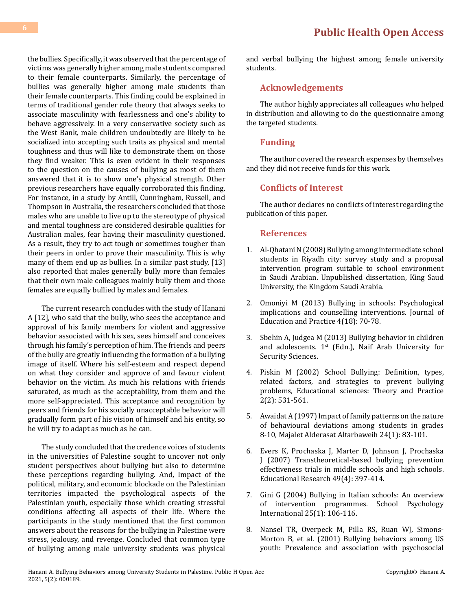the bullies. Specifically, it was observed that the percentage of victims was generally higher among male students compared to their female counterparts. Similarly, the percentage of bullies was generally higher among male students than their female counterparts. This finding could be explained in terms of traditional gender role theory that always seeks to associate masculinity with fearlessness and one's ability to behave aggressively. In a very conservative society such as the West Bank, male children undoubtedly are likely to be socialized into accepting such traits as physical and mental toughness and thus will like to demonstrate them on those they find weaker. This is even evident in their responses to the question on the causes of bullying as most of them answered that it is to show one's physical strength. Other previous researchers have equally corroborated this finding. For instance, in a study by Antill, Cunningham, Russell, and Thompson in Australia, the researchers concluded that those males who are unable to live up to the stereotype of physical and mental toughness are considered desirable qualities for Australian males, fear having their masculinity questioned. As a result, they try to act tough or sometimes tougher than their peers in order to prove their masculinity. This is why many of them end up as bullies. In a similar past study, [13] also reported that males generally bully more than females that their own male colleagues mainly bully them and those females are equally bullied by males and females.

The current research concludes with the study of Hanani A [12], who said that the bully, who sees the acceptance and approval of his family members for violent and aggressive behavior associated with his sex, sees himself and conceives through his family's perception of him. The friends and peers of the bully are greatly influencing the formation of a bullying image of itself. Where his self-esteem and respect depend on what they consider and approve of and favour violent behavior on the victim. As much his relations with friends saturated, as much as the acceptability, from them and the more self-appreciated. This acceptance and recognition by peers and friends for his socially unacceptable behavior will gradually form part of his vision of himself and his entity, so he will try to adapt as much as he can.

The study concluded that the credence voices of students in the universities of Palestine sought to uncover not only student perspectives about bullying but also to determine these perceptions regarding bullying. And, Impact of the political, military, and economic blockade on the Palestinian territories impacted the psychological aspects of the Palestinian youth, especially those which creating stressful conditions affecting all aspects of their life. Where the participants in the study mentioned that the first common answers about the reasons for the bullying in Palestine were stress, jealousy, and revenge. Concluded that common type of bullying among male university students was physical and verbal bullying the highest among female university students.

#### **Acknowledgements**

The author highly appreciates all colleagues who helped in distribution and allowing to do the questionnaire among the targeted students.

#### **Funding**

The author covered the research expenses by themselves and they did not receive funds for this work.

#### **Conflicts of Interest**

The author declares no conflicts of interest regarding the publication of this paper.

#### **References**

- 1. Al-Qhatani N (2008) Bullying among intermediate school students in Riyadh city: survey study and a proposal intervention program suitable to school environment in Saudi Arabian. Unpublished dissertation, King Saud University, the Kingdom Saudi Arabia.
- 2. [Omoniyi M \(2013\) Bullying in schools: Psychological](https://www.iiste.org/Journals/index.php/JEP/article/view/7880)  [implications and counselling interventions. Journal of](https://www.iiste.org/Journals/index.php/JEP/article/view/7880)  [Education and Practice 4\(18\): 70-78.](https://www.iiste.org/Journals/index.php/JEP/article/view/7880)
- 3. Sbehin A, Judgea M (2013) Bullying behavior in children and adolescents.  $1^{st}$  (Edn.), Naif Arab University for Security Sciences.
- 4. Piskin M (2002) School Bullying: Definition, types, related factors, and strategies to prevent bullying problems, Educational sciences: Theory and Practice 2(2): 531-561.
- 5. Awaidat A (1997) Impact of family patterns on the nature of behavioural deviations among students in grades 8-10, Majalet Alderasat Altarbaweih 24(1): 83-101.
- 6. [Evers K, Prochaska J, Marter D, Johnson J, Prochaska](http://www.uky.edu/~ngrant/CJT780/readings/Day 12/EversETAL2007.pdf)  [J \(2007\) Transtheoretical-based bullying prevention](http://www.uky.edu/~ngrant/CJT780/readings/Day 12/EversETAL2007.pdf)  [effectiveness trials in middle schools and high schools.](http://www.uky.edu/~ngrant/CJT780/readings/Day 12/EversETAL2007.pdf) [Educational Research 49\(4\): 397-414.](http://www.uky.edu/~ngrant/CJT780/readings/Day 12/EversETAL2007.pdf)
- 7. [Gini G \(2004\) Bullying in Italian schools: An overview](https://journals.sagepub.com/doi/10.1177/0143034304028042)  [of intervention programmes. School Psychology](https://journals.sagepub.com/doi/10.1177/0143034304028042)  [International 25\(1\): 106-116.](https://journals.sagepub.com/doi/10.1177/0143034304028042)
- 8. [Nansel TR, Overpeck M, Pilla RS, Ruan WJ, Simons-](https://pubmed.ncbi.nlm.nih.gov/11311098/)[Morton B, et al. \(2001\) Bullying behaviors among US](https://pubmed.ncbi.nlm.nih.gov/11311098/)  [youth: Prevalence and association with psychosocial](https://pubmed.ncbi.nlm.nih.gov/11311098/)